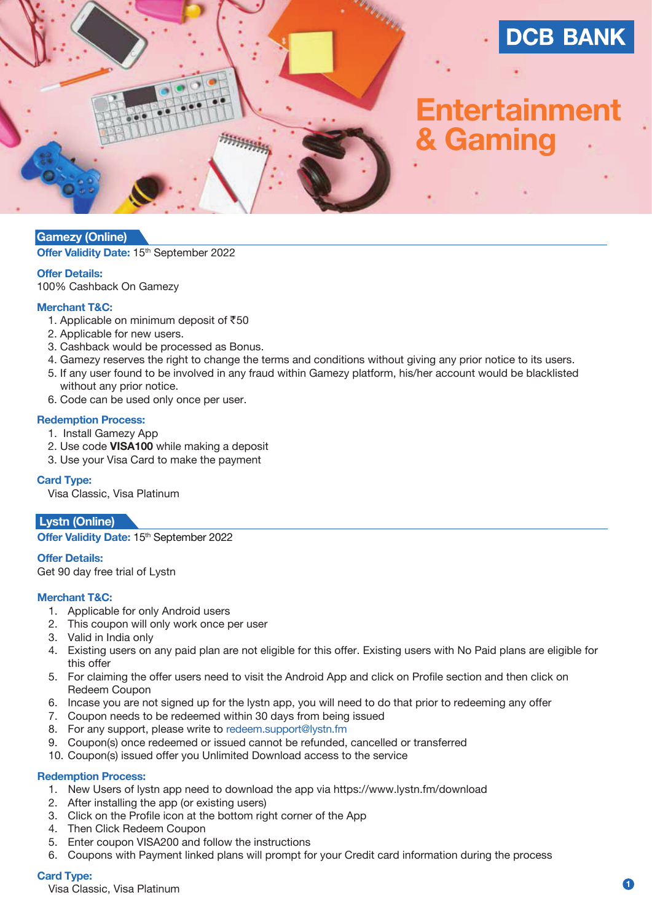

# **Entertainment & Gaming**

## **Gamezy (Online)**

**Offer Validity Date: 15<sup>th</sup> September 2022** 

## **Offer Details:**

100% Cashback On Gamezy

#### **Merchant T&C:**

- 1. Applicable on minimum deposit of  $\overline{550}$
- 2. Applicable for new users.
- 3. Cashback would be processed as Bonus.
- 4. Gamezy reserves the right to change the terms and conditions without giving any prior notice to its users.
- 5. If any user found to be involved in any fraud within Gamezy platform, his/her account would be blacklisted
- without any prior notice.
- 6. Code can be used only once per user.

#### **Redemption Process:**

- 1. Install Gamezy App
- 2. Use code **VISA100** while making a deposit
- 3. Use your Visa Card to make the payment

#### **Card Type:**

Visa Classic, Visa Platinum

## **Lystn (Online)**

**Offer Validity Date: 15th September 2022** 

#### **Offer Details:**

Get 90 day free trial of Lystn

## **Merchant T&C:**

- 1. Applicable for only Android users
- 2. This coupon will only work once per user
- 3. Valid in India only
- 4. Existing users on any paid plan are not eligible for this offer. Existing users with No Paid plans are eligible for this offer
- 5. For claiming the offer users need to visit the Android App and click on Profile section and then click on Redeem Coupon
- 6. Incase you are not signed up for the lystn app, you will need to do that prior to redeeming any offer
- 7. Coupon needs to be redeemed within 30 days from being issued
- 8. For any support, please write to redeem.support@lystn.fm
- 9. Coupon(s) once redeemed or issued cannot be refunded, cancelled or transferred
- 10. Coupon(s) issued offer you Unlimited Download access to the service

#### **Redemption Process:**

- 1. New Users of lystn app need to download the app via https://www.lystn.fm/download
- 2. After installing the app (or existing users)
- 3. Click on the Profile icon at the bottom right corner of the App
- 4. Then Click Redeem Coupon
- 5. Enter coupon VISA200 and follow the instructions
- 6. Coupons with Payment linked plans will prompt for your Credit card information during the process

#### **Card Type:**

Visa Classic, Visa Platinum